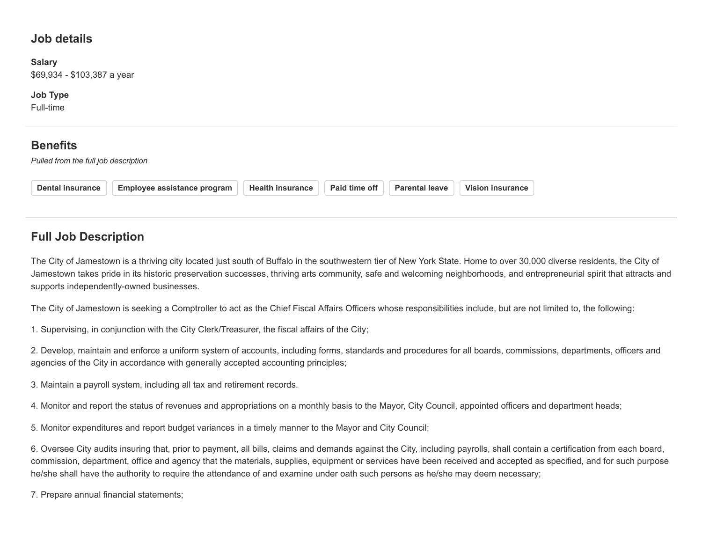### **Job details**

**Salary** \$69,934 - \$103,387 a year

**Job Type**

Full-time

## **Benefits**

*Pulled from the full job description*

| <b>Employee assistance program</b><br><b>Dental insurance</b> |  | <b>Health insurance</b> |  | Paid time off |  | <b>Parental leave</b> |  | <b>Vision insurance</b> |
|---------------------------------------------------------------|--|-------------------------|--|---------------|--|-----------------------|--|-------------------------|
|---------------------------------------------------------------|--|-------------------------|--|---------------|--|-----------------------|--|-------------------------|

# **Full Job Description**

The City of Jamestown is a thriving city located just south of Buffalo in the southwestern tier of New York State. Home to over 30,000 diverse residents, the City of Jamestown takes pride in its historic preservation successes, thriving arts community, safe and welcoming neighborhoods, and entrepreneurial spirit that attracts and supports independently-owned businesses.

The City of Jamestown is seeking a Comptroller to act as the Chief Fiscal Affairs Officers whose responsibilities include, but are not limited to, the following:

1. Supervising, in conjunction with the City Clerk/Treasurer, the fiscal affairs of the City;

2. Develop, maintain and enforce a uniform system of accounts, including forms, standards and procedures for all boards, commissions, departments, officers and agencies of the City in accordance with generally accepted accounting principles;

3. Maintain a payroll system, including all tax and retirement records.

4. Monitor and report the status of revenues and appropriations on a monthly basis to the Mayor, City Council, appointed officers and department heads;

5. Monitor expenditures and report budget variances in a timely manner to the Mayor and City Council;

6. Oversee City audits insuring that, prior to payment, all bills, claims and demands against the City, including payrolls, shall contain a certification from each board, commission, department, office and agency that the materials, supplies, equipment or services have been received and accepted as specified, and for such purpose he/she shall have the authority to require the attendance of and examine under oath such persons as he/she may deem necessary;

7. Prepare annual financial statements;